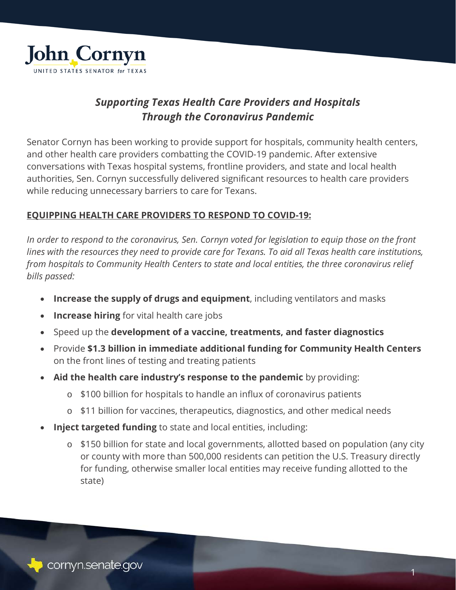

# *Supporting Texas Health Care Providers and Hospitals Through the Coronavirus Pandemic*

Senator Cornyn has been working to provide support for hospitals, community health centers, and other health care providers combatting the COVID-19 pandemic. After extensive conversations with Texas hospital systems, frontline providers, and state and local health authorities, Sen. Cornyn successfully delivered significant resources to health care providers while reducing unnecessary barriers to care for Texans.

## **EQUIPPING HEALTH CARE PROVIDERS TO RESPOND TO COVID-19:**

*In order to respond to the coronavirus, Sen. Cornyn voted for legislation to equip those on the front lines with the resources they need to provide care for Texans. To aid all Texas health care institutions, from hospitals to Community Health Centers to state and local entities, the three coronavirus relief bills passed:*

- **Increase the supply of drugs and equipment**, including ventilators and masks
- **Increase hiring** for vital health care jobs
- Speed up the **development of a vaccine, treatments, and faster diagnostics**
- Provide **\$1.3 billion in immediate additional funding for Community Health Centers** on the front lines of testing and treating patients
- **Aid the health care industry's response to the pandemic** by providing:
	- o \$100 billion for hospitals to handle an influx of coronavirus patients
	- o \$11 billion for vaccines, therapeutics, diagnostics, and other medical needs
- **Inject targeted funding** to state and local entities, including:
	- o \$150 billion for state and local governments, allotted based on population (any city or county with more than 500,000 residents can petition the U.S. Treasury directly for funding, otherwise smaller local entities may receive funding allotted to the state)

1

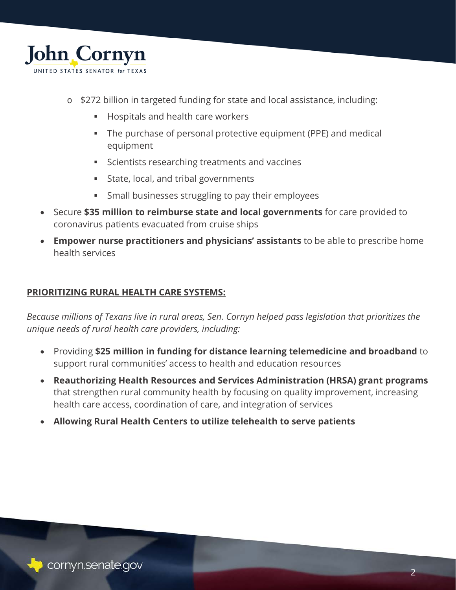

- o \$272 billion in targeted funding for state and local assistance, including:
	- **Hospitals and health care workers**
	- The purchase of personal protective equipment (PPE) and medical equipment
	- **Scientists researching treatments and vaccines**
	- State, local, and tribal governments
	- **Small businesses struggling to pay their employees**
- Secure **\$35 million to reimburse state and local governments** for care provided to coronavirus patients evacuated from cruise ships
- **Empower nurse practitioners and physicians' assistants** to be able to prescribe home health services

# **PRIORITIZING RURAL HEALTH CARE SYSTEMS:**

*Because millions of Texans live in rural areas, Sen. Cornyn helped pass legislation that prioritizes the unique needs of rural health care providers, including:*

- Providing **\$25 million in funding for distance learning telemedicine and broadband** to support rural communities' access to health and education resources
- **Reauthorizing Health Resources and Services Administration (HRSA) grant programs** that strengthen rural community health by focusing on quality improvement, increasing health care access, coordination of care, and integration of services
- **Allowing Rural Health Centers to utilize telehealth to serve patients**



2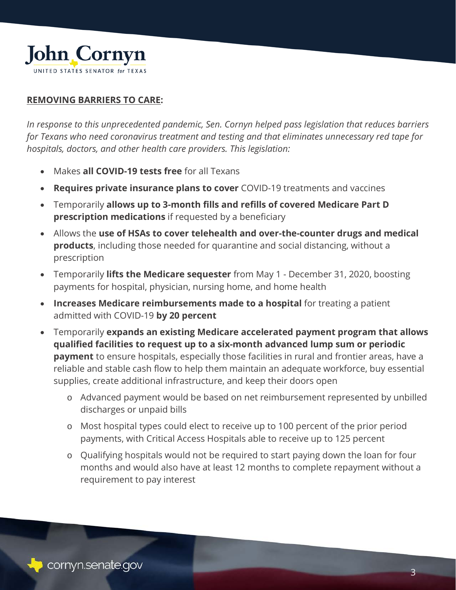

#### **REMOVING BARRIERS TO CARE:**

*In response to this unprecedented pandemic, Sen. Cornyn helped pass legislation that reduces barriers for Texans who need coronavirus treatment and testing and that eliminates unnecessary red tape for hospitals, doctors, and other health care providers. This legislation:*

- Makes **all COVID-19 tests free** for all Texans
- **Requires private insurance plans to cover** COVID-19 treatments and vaccines
- Temporarily **allows up to 3-month fills and refills of covered Medicare Part D prescription medications** if requested by a beneficiary
- Allows the **use of HSAs to cover telehealth and over-the-counter drugs and medical products**, including those needed for quarantine and social distancing, without a prescription
- Temporarily **lifts the Medicare sequester** from May 1 December 31, 2020, boosting payments for hospital, physician, nursing home, and home health
- **Increases Medicare reimbursements made to a hospital** for treating a patient admitted with COVID-19 **by 20 percent**
- Temporarily **expands an existing Medicare accelerated payment program that allows qualified facilities to request up to a six-month advanced lump sum or periodic payment** to ensure hospitals, especially those facilities in rural and frontier areas, have a reliable and stable cash flow to help them maintain an adequate workforce, buy essential supplies, create additional infrastructure, and keep their doors open
	- o Advanced payment would be based on net reimbursement represented by unbilled discharges or unpaid bills
	- o Most hospital types could elect to receive up to 100 percent of the prior period payments, with Critical Access Hospitals able to receive up to 125 percent
	- o Qualifying hospitals would not be required to start paying down the loan for four months and would also have at least 12 months to complete repayment without a requirement to pay interest



3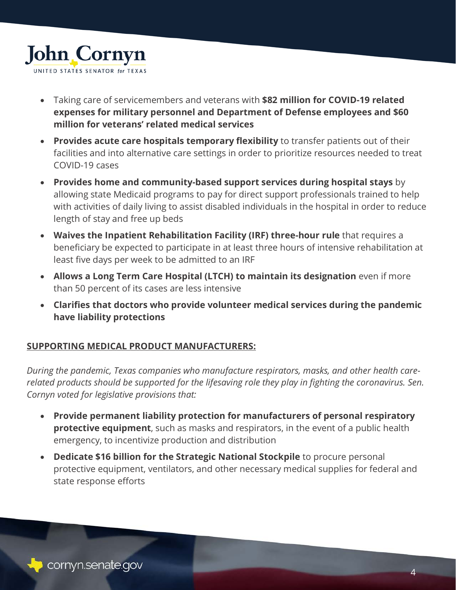

- Taking care of servicemembers and veterans with **\$82 million for COVID-19 related expenses for military personnel and Department of Defense employees and \$60 million for veterans' related medical services**
- **Provides acute care hospitals temporary flexibility** to transfer patients out of their facilities and into alternative care settings in order to prioritize resources needed to treat COVID-19 cases
- **Provides home and community-based support services during hospital stays** by allowing state Medicaid programs to pay for direct support professionals trained to help with activities of daily living to assist disabled individuals in the hospital in order to reduce length of stay and free up beds
- **Waives the Inpatient Rehabilitation Facility (IRF) three-hour rule** that requires a beneficiary be expected to participate in at least three hours of intensive rehabilitation at least five days per week to be admitted to an IRF
- **Allows a Long Term Care Hospital (LTCH) to maintain its designation** even if more than 50 percent of its cases are less intensive
- **Clarifies that doctors who provide volunteer medical services during the pandemic have liability protections**

## **SUPPORTING MEDICAL PRODUCT MANUFACTURERS:**

*During the pandemic, Texas companies who manufacture respirators, masks, and other health carerelated products should be supported for the lifesaving role they play in fighting the coronavirus. Sen. Cornyn voted for legislative provisions that:*

- **Provide permanent liability protection for manufacturers of personal respiratory protective equipment**, such as masks and respirators, in the event of a public health emergency, to incentivize production and distribution
- **Dedicate \$16 billion for the Strategic National Stockpile** to procure personal protective equipment, ventilators, and other necessary medical supplies for federal and state response efforts



 $\overline{\mathcal{A}}$